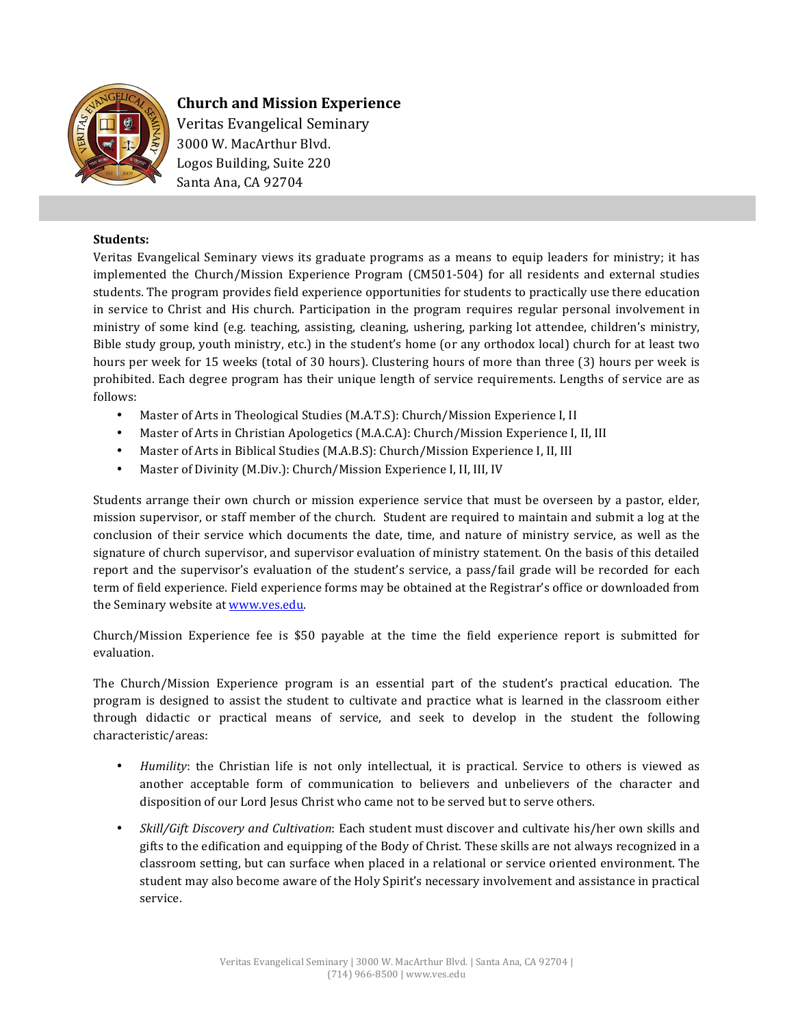

# **Church and Mission Experience**

Veritas Evangelical Seminary 3000 W. MacArthur Blvd. Logos Building, Suite 220 Santa Ana, CA 92704

#### **Students:**

Veritas Evangelical Seminary views its graduate programs as a means to equip leaders for ministry; it has implemented the Church/Mission Experience Program (CM501-504) for all residents and external studies students. The program provides field experience opportunities for students to practically use there education in service to Christ and His church. Participation in the program requires regular personal involvement in ministry of some kind (e.g. teaching, assisting, cleaning, ushering, parking lot attendee, children's ministry, Bible study group, youth ministry, etc.) in the student's home (or any orthodox local) church for at least two hours per week for 15 weeks (total of 30 hours). Clustering hours of more than three (3) hours per week is prohibited. Each degree program has their unique length of service requirements. Lengths of service are as follows:

- Master of Arts in Theological Studies (M.A.T.S): Church/Mission Experience I, II
- Master of Arts in Christian Apologetics (M.A.C.A): Church/Mission Experience I, II, III
- Master of Arts in Biblical Studies (M.A.B.S): Church/Mission Experience I, II, III
- Master of Divinity (M.Div.): Church/Mission Experience I, II, III, IV

Students arrange their own church or mission experience service that must be overseen by a pastor, elder, mission supervisor, or staff member of the church. Student are required to maintain and submit a log at the conclusion of their service which documents the date, time, and nature of ministry service, as well as the signature of church supervisor, and supervisor evaluation of ministry statement. On the basis of this detailed report and the supervisor's evaluation of the student's service, a pass/fail grade will be recorded for each term of field experience. Field experience forms may be obtained at the Registrar's office or downloaded from the Seminary website at www.ves.edu.

Church/Mission Experience fee is  $$50$  payable at the time the field experience report is submitted for evaluation. 

The Church/Mission Experience program is an essential part of the student's practical education. The program is designed to assist the student to cultivate and practice what is learned in the classroom either through didactic or practical means of service, and seek to develop in the student the following characteristic/areas:

- *Humility*: the Christian life is not only intellectual, it is practical. Service to others is viewed as another acceptable form of communication to believers and unbelievers of the character and disposition of our Lord Jesus Christ who came not to be served but to serve others.
- *Skill/Gift Discovery and Cultivation*: Each student must discover and cultivate his/her own skills and gifts to the edification and equipping of the Body of Christ. These skills are not always recognized in a classroom setting, but can surface when placed in a relational or service oriented environment. The student may also become aware of the Holy Spirit's necessary involvement and assistance in practical service.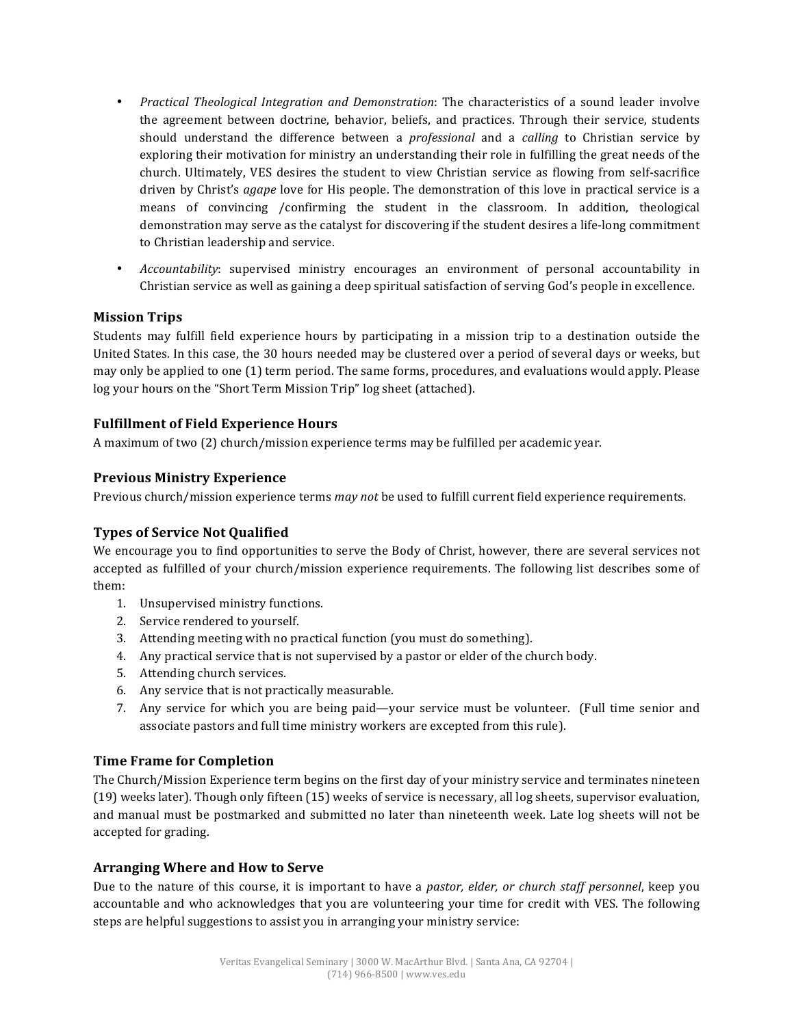- *Practical Theological Integration and Demonstration*: The characteristics of a sound leader involve the agreement between doctrine, behavior, beliefs, and practices. Through their service, students should understand the difference between a *professional* and a *calling* to Christian service by exploring their motivation for ministry an understanding their role in fulfilling the great needs of the church. Ultimately, VES desires the student to view Christian service as flowing from self-sacrifice driven by Christ's *agape* love for His people. The demonstration of this love in practical service is a means of convincing /confirming the student in the classroom. In addition, theological demonstration may serve as the catalyst for discovering if the student desires a life-long commitment to Christian leadership and service.
- *Accountability*: supervised ministry encourages an environment of personal accountability in Christian service as well as gaining a deep spiritual satisfaction of serving God's people in excellence.

## **Mission Trips**

Students may fulfill field experience hours by participating in a mission trip to a destination outside the United States. In this case, the 30 hours needed may be clustered over a period of several days or weeks, but may only be applied to one (1) term period. The same forms, procedures, and evaluations would apply. Please log your hours on the "Short Term Mission Trip" log sheet (attached).

### **Fulfillment of Field Experience Hours**

A maximum of two (2) church/mission experience terms may be fulfilled per academic year.

## **Previous Ministry Experience**

Previous church/mission experience terms *may not* be used to fulfill current field experience requirements.

### **Types of Service Not Qualified**

We encourage you to find opportunities to serve the Body of Christ, however, there are several services not accepted as fulfilled of your church/mission experience requirements. The following list describes some of them:

- 1. Unsupervised ministry functions.
- 2. Service rendered to yourself.
- 3. Attending meeting with no practical function (you must do something).
- 4. Any practical service that is not supervised by a pastor or elder of the church body.
- 5. Attending church services.
- 6. Any service that is not practically measurable.
- 7. Any service for which you are being paid—your service must be volunteer. (Full time senior and associate pastors and full time ministry workers are excepted from this rule).

### **Time Frame for Completion**

The Church/Mission Experience term begins on the first day of your ministry service and terminates nineteen (19) weeks later). Though only fifteen (15) weeks of service is necessary, all log sheets, supervisor evaluation, and manual must be postmarked and submitted no later than nineteenth week. Late log sheets will not be accepted for grading.

### **Arranging Where and How to Serve**

Due to the nature of this course, it is important to have a *pastor, elder, or church staff personnel*, keep you accountable and who acknowledges that you are volunteering your time for credit with VES. The following steps are helpful suggestions to assist you in arranging your ministry service: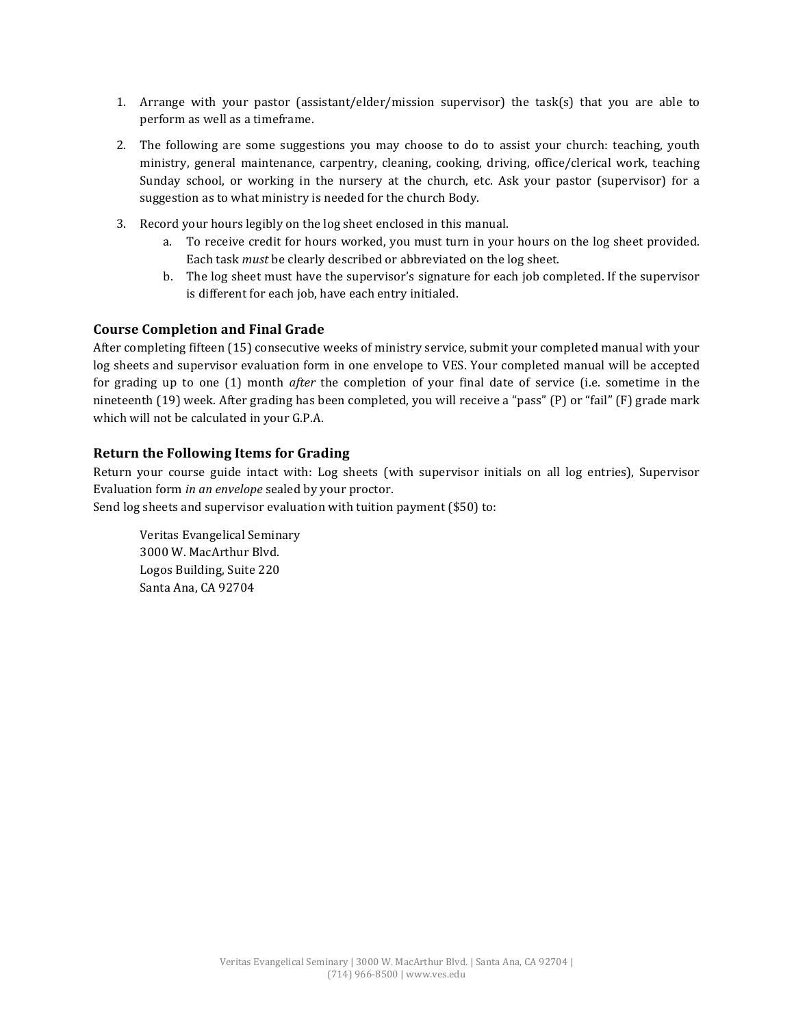- 1. Arrange with your pastor (assistant/elder/mission supervisor) the task(s) that you are able to perform as well as a timeframe.
- 2. The following are some suggestions you may choose to do to assist your church: teaching, youth ministry, general maintenance, carpentry, cleaning, cooking, driving, office/clerical work, teaching Sunday school, or working in the nursery at the church, etc. Ask your pastor (supervisor) for a suggestion as to what ministry is needed for the church Body.
- 3. Record your hours legibly on the log sheet enclosed in this manual.
	- a. To receive credit for hours worked, you must turn in your hours on the log sheet provided. Each task *must* be clearly described or abbreviated on the log sheet.
	- b. The log sheet must have the supervisor's signature for each job completed. If the supervisor is different for each job, have each entry initialed.

## **Course Completion and Final Grade**

After completing fifteen (15) consecutive weeks of ministry service, submit your completed manual with your log sheets and supervisor evaluation form in one envelope to VES. Your completed manual will be accepted for grading up to one (1) month *after* the completion of your final date of service (i.e. sometime in the nineteenth  $(19)$  week. After grading has been completed, you will receive a "pass"  $(P)$  or "fail"  $(F)$  grade mark which will not be calculated in your G.P.A.

## **Return the Following Items for Grading**

Return your course guide intact with: Log sheets (with supervisor initials on all log entries), Supervisor Evaluation form *in an envelope* sealed by your proctor.

Send log sheets and supervisor evaluation with tuition payment (\$50) to:

Veritas Evangelical Seminary 3000 W. MacArthur Blvd. Logos Building, Suite 220 Santa Ana, CA 92704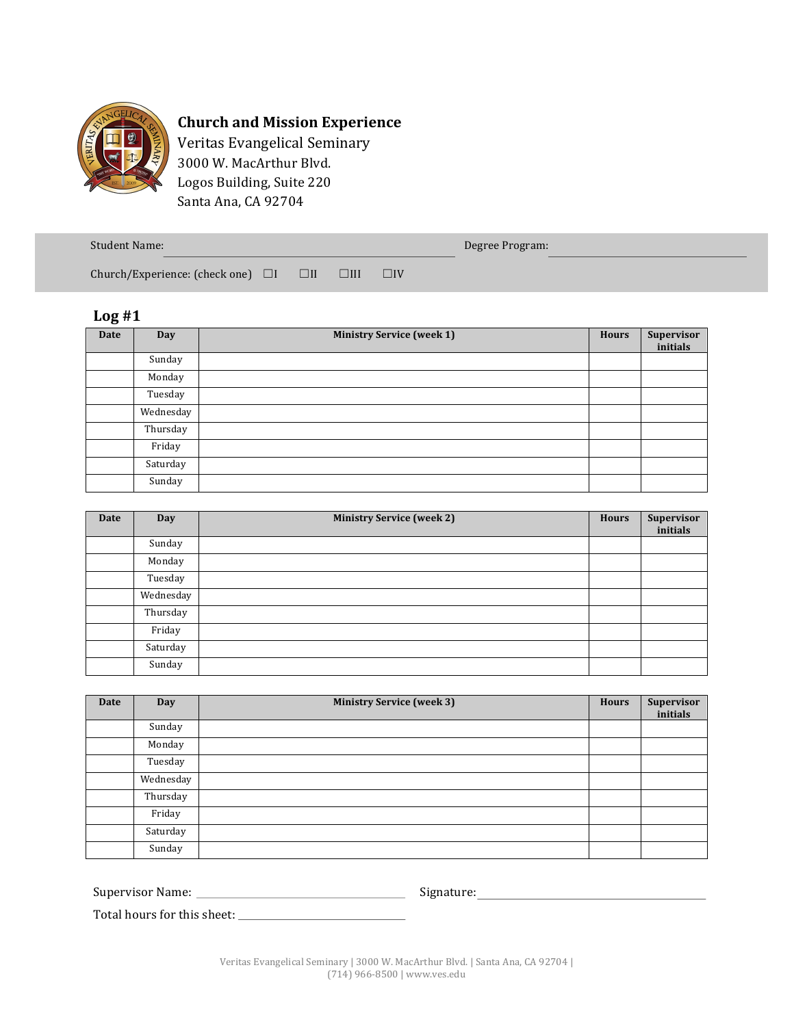

## **Church and Mission Experience**

Veritas Evangelical Seminary 3000 W. MacArthur Blvd. Logos Building, Suite 220 Santa Ana, CA 92704

**Student Name: Degree Program: Degree Program:** 

Church/Experience: (check one)  $\Box I$   $\Box II$   $\Box III$   $\Box IV$ 

## **Log #1**

| -    |           |                                  |              |                        |
|------|-----------|----------------------------------|--------------|------------------------|
| Date | Day       | <b>Ministry Service (week 1)</b> | <b>Hours</b> | Supervisor<br>initials |
|      | Sunday    |                                  |              |                        |
|      | Monday    |                                  |              |                        |
|      | Tuesday   |                                  |              |                        |
|      | Wednesday |                                  |              |                        |
|      | Thursday  |                                  |              |                        |
|      | Friday    |                                  |              |                        |
|      | Saturday  |                                  |              |                        |
|      | Sunday    |                                  |              |                        |

| Date | <b>Day</b> | <b>Ministry Service (week 2)</b> | <b>Hours</b> | Supervisor<br>initials |
|------|------------|----------------------------------|--------------|------------------------|
|      | Sunday     |                                  |              |                        |
|      | Monday     |                                  |              |                        |
|      | Tuesday    |                                  |              |                        |
|      | Wednesday  |                                  |              |                        |
|      | Thursday   |                                  |              |                        |
|      | Friday     |                                  |              |                        |
|      | Saturday   |                                  |              |                        |
|      | Sunday     |                                  |              |                        |

| Date | <b>Day</b> | <b>Ministry Service (week 3)</b> | <b>Hours</b> | Supervisor<br>initials |
|------|------------|----------------------------------|--------------|------------------------|
|      | Sunday     |                                  |              |                        |
|      | Monday     |                                  |              |                        |
|      | Tuesday    |                                  |              |                        |
|      | Wednesday  |                                  |              |                        |
|      | Thursday   |                                  |              |                        |
|      | Friday     |                                  |              |                        |
|      | Saturday   |                                  |              |                        |
|      | Sunday     |                                  |              |                        |

Supervisor Name: <u>Contract Communications</u> Signature: Communications and Supervisor Name:

Total hours for this sheet: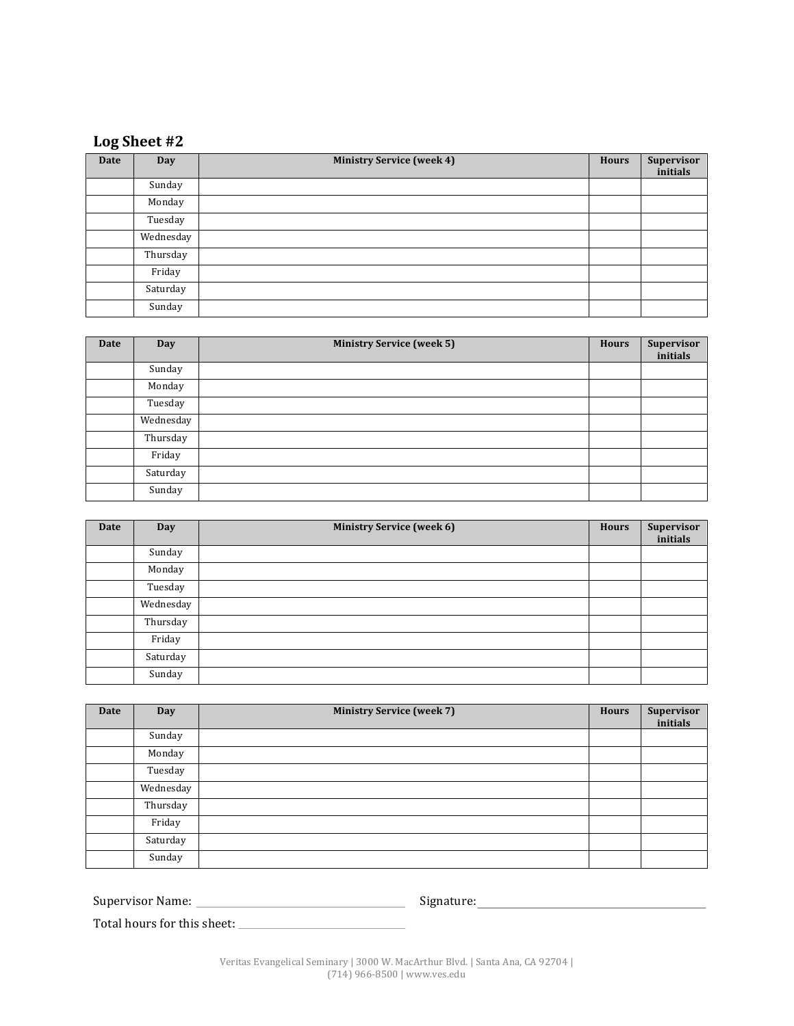# **Log Sheet #2**

| Date | <b>Day</b> | <b>Ministry Service (week 4)</b> | <b>Hours</b> | Supervisor<br>initials |
|------|------------|----------------------------------|--------------|------------------------|
|      | Sunday     |                                  |              |                        |
|      | Monday     |                                  |              |                        |
|      | Tuesday    |                                  |              |                        |
|      | Wednesday  |                                  |              |                        |
|      | Thursday   |                                  |              |                        |
|      | Friday     |                                  |              |                        |
|      | Saturday   |                                  |              |                        |
|      | Sunday     |                                  |              |                        |

| Date | Day       | <b>Ministry Service (week 5)</b> | <b>Hours</b> | Supervisor<br>initials |
|------|-----------|----------------------------------|--------------|------------------------|
|      | Sunday    |                                  |              |                        |
|      | Monday    |                                  |              |                        |
|      | Tuesday   |                                  |              |                        |
|      | Wednesday |                                  |              |                        |
|      | Thursday  |                                  |              |                        |
|      | Friday    |                                  |              |                        |
|      | Saturday  |                                  |              |                        |
|      | Sunday    |                                  |              |                        |

| Date | Day       | <b>Ministry Service (week 6)</b> | <b>Hours</b> | Supervisor<br>initials |
|------|-----------|----------------------------------|--------------|------------------------|
|      | Sunday    |                                  |              |                        |
|      | Monday    |                                  |              |                        |
|      | Tuesday   |                                  |              |                        |
|      | Wednesday |                                  |              |                        |
|      | Thursday  |                                  |              |                        |
|      | Friday    |                                  |              |                        |
|      | Saturday  |                                  |              |                        |
|      | Sunday    |                                  |              |                        |

| Date | Day       | <b>Ministry Service (week 7)</b> | <b>Hours</b> | Supervisor<br>initials |
|------|-----------|----------------------------------|--------------|------------------------|
|      | Sunday    |                                  |              |                        |
|      | Monday    |                                  |              |                        |
|      | Tuesday   |                                  |              |                        |
|      | Wednesday |                                  |              |                        |
|      | Thursday  |                                  |              |                        |
|      | Friday    |                                  |              |                        |
|      | Saturday  |                                  |              |                        |
|      | Sunday    |                                  |              |                        |

Supervisor Name: Supervisor Name: Signature: Signature: Signature: Signature: Signature: Signature: Signature: Signature: Signature: Signature: Signature: Signature: Signature: Signature: Signature: Signature: Signature: S

Total hours for this sheet: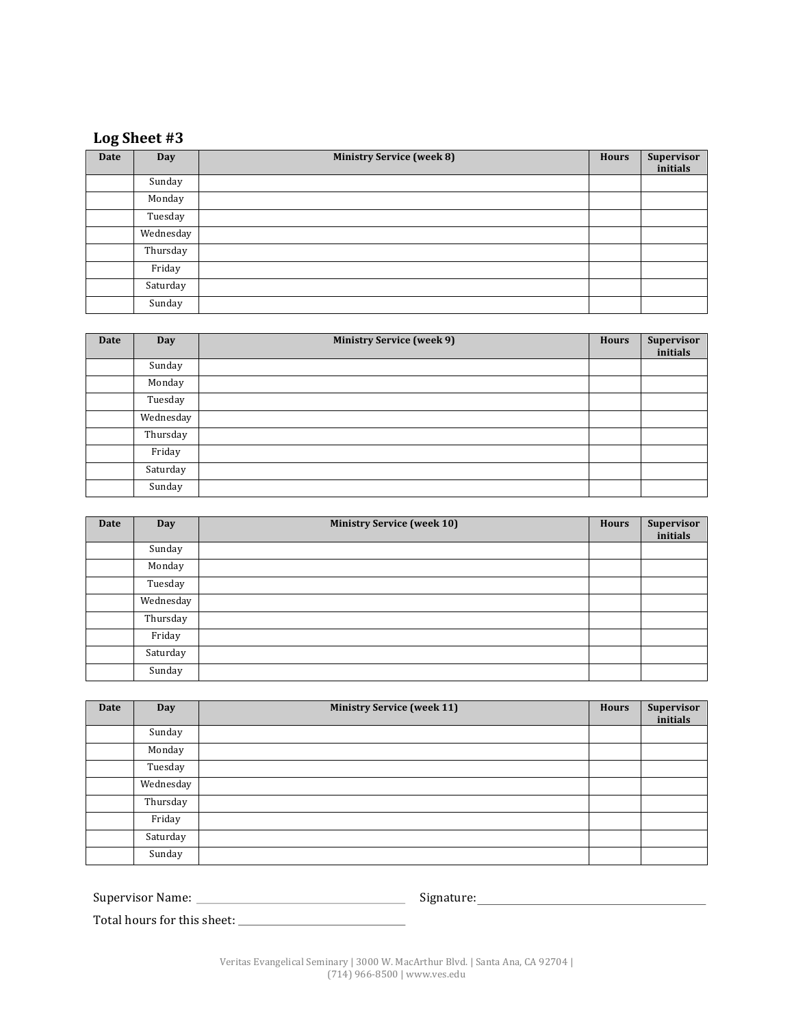# **Log Sheet #3**

| Date | Day       | <b>Ministry Service (week 8)</b> | <b>Hours</b> | Supervisor<br>initials |
|------|-----------|----------------------------------|--------------|------------------------|
|      | Sunday    |                                  |              |                        |
|      | Monday    |                                  |              |                        |
|      | Tuesday   |                                  |              |                        |
|      | Wednesday |                                  |              |                        |
|      | Thursday  |                                  |              |                        |
|      | Friday    |                                  |              |                        |
|      | Saturday  |                                  |              |                        |
|      | Sunday    |                                  |              |                        |

| Date | Day       | <b>Ministry Service (week 9)</b> | <b>Hours</b> | Supervisor |
|------|-----------|----------------------------------|--------------|------------|
|      |           |                                  |              | initials   |
|      |           |                                  |              |            |
|      | Sunday    |                                  |              |            |
|      |           |                                  |              |            |
|      | Monday    |                                  |              |            |
|      |           |                                  |              |            |
|      | Tuesday   |                                  |              |            |
|      |           |                                  |              |            |
|      | Wednesday |                                  |              |            |
|      |           |                                  |              |            |
|      | Thursday  |                                  |              |            |
|      |           |                                  |              |            |
|      | Friday    |                                  |              |            |
|      |           |                                  |              |            |
|      | Saturday  |                                  |              |            |
|      |           |                                  |              |            |
|      | Sunday    |                                  |              |            |
|      |           |                                  |              |            |

| Date | Day       | <b>Ministry Service (week 10)</b> | <b>Hours</b> | Supervisor<br>initials |
|------|-----------|-----------------------------------|--------------|------------------------|
|      | Sunday    |                                   |              |                        |
|      | Monday    |                                   |              |                        |
|      | Tuesday   |                                   |              |                        |
|      | Wednesday |                                   |              |                        |
|      | Thursday  |                                   |              |                        |
|      | Friday    |                                   |              |                        |
|      | Saturday  |                                   |              |                        |
|      | Sunday    |                                   |              |                        |

| Date | Day       | <b>Ministry Service (week 11)</b> | <b>Hours</b> | Supervisor<br>initials |
|------|-----------|-----------------------------------|--------------|------------------------|
|      | Sunday    |                                   |              |                        |
|      | Monday    |                                   |              |                        |
|      | Tuesday   |                                   |              |                        |
|      | Wednesday |                                   |              |                        |
|      | Thursday  |                                   |              |                        |
|      | Friday    |                                   |              |                        |
|      | Saturday  |                                   |              |                        |
|      | Sunday    |                                   |              |                        |

Supervisor Name: <u>Communications and Supervisor Name:</u> Signature:

Total hours for this sheet: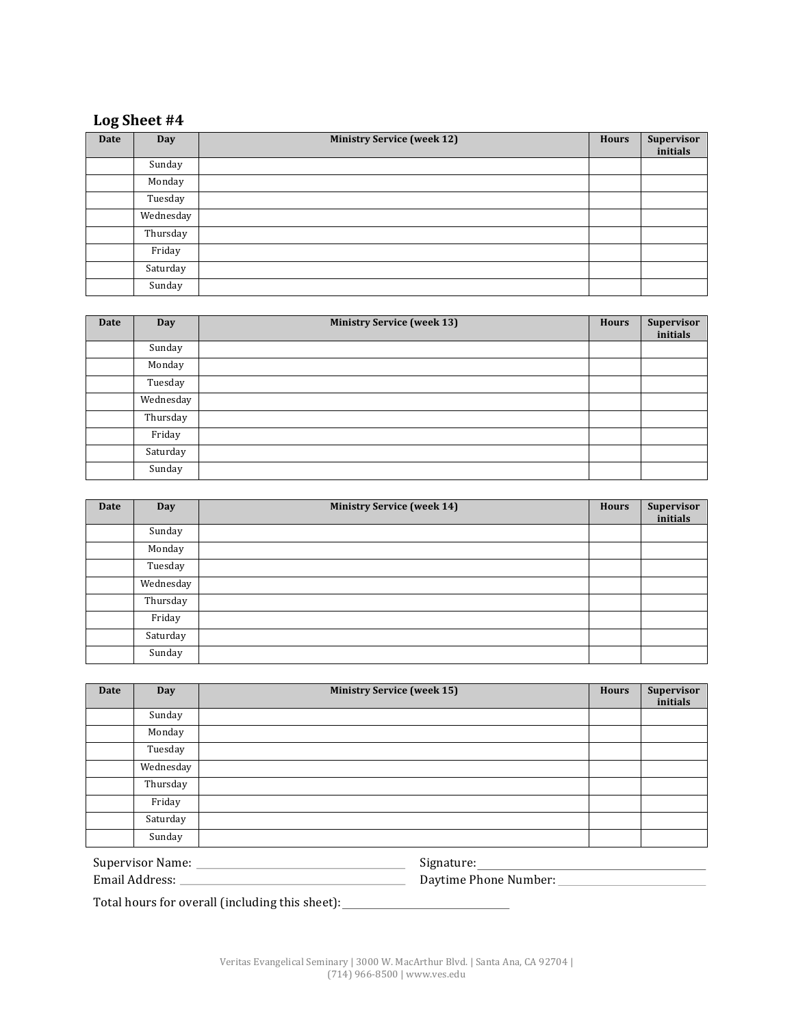# Log Sheet #4

| Date | Day       | <b>Ministry Service (week 12)</b> | <b>Hours</b> | Supervisor<br>initials |
|------|-----------|-----------------------------------|--------------|------------------------|
|      | Sunday    |                                   |              |                        |
|      | Monday    |                                   |              |                        |
|      | Tuesday   |                                   |              |                        |
|      | Wednesday |                                   |              |                        |
|      | Thursday  |                                   |              |                        |
|      | Friday    |                                   |              |                        |
|      | Saturday  |                                   |              |                        |
|      | Sunday    |                                   |              |                        |

| Date | Day       | <b>Ministry Service (week 13)</b> | <b>Hours</b> | Supervisor<br>initials |
|------|-----------|-----------------------------------|--------------|------------------------|
|      | Sunday    |                                   |              |                        |
|      | Monday    |                                   |              |                        |
|      | Tuesday   |                                   |              |                        |
|      | Wednesday |                                   |              |                        |
|      | Thursday  |                                   |              |                        |
|      | Friday    |                                   |              |                        |
|      | Saturday  |                                   |              |                        |
|      | Sunday    |                                   |              |                        |

| Date | Day       | <b>Ministry Service (week 14)</b> | <b>Hours</b> | Supervisor<br>initials |
|------|-----------|-----------------------------------|--------------|------------------------|
|      | Sunday    |                                   |              |                        |
|      | Monday    |                                   |              |                        |
|      | Tuesday   |                                   |              |                        |
|      | Wednesday |                                   |              |                        |
|      | Thursday  |                                   |              |                        |
|      | Friday    |                                   |              |                        |
|      | Saturday  |                                   |              |                        |
|      | Sunday    |                                   |              |                        |

| Date | Day       | <b>Ministry Service (week 15)</b> | <b>Hours</b> | Supervisor<br>initials |
|------|-----------|-----------------------------------|--------------|------------------------|
|      | Sunday    |                                   |              |                        |
|      | Monday    |                                   |              |                        |
|      | Tuesday   |                                   |              |                        |
|      | Wednesday |                                   |              |                        |
|      | Thursday  |                                   |              |                        |
|      | Friday    |                                   |              |                        |
|      | Saturday  |                                   |              |                        |
|      | Sunday    |                                   |              |                        |

Supervisor Name: Signature:

Email Address: Daytime Phone Number: 

Total hours for overall (including this sheet): \_\_\_\_\_\_\_\_\_\_\_\_\_\_\_\_\_\_\_\_\_\_\_\_\_\_\_\_\_\_\_\_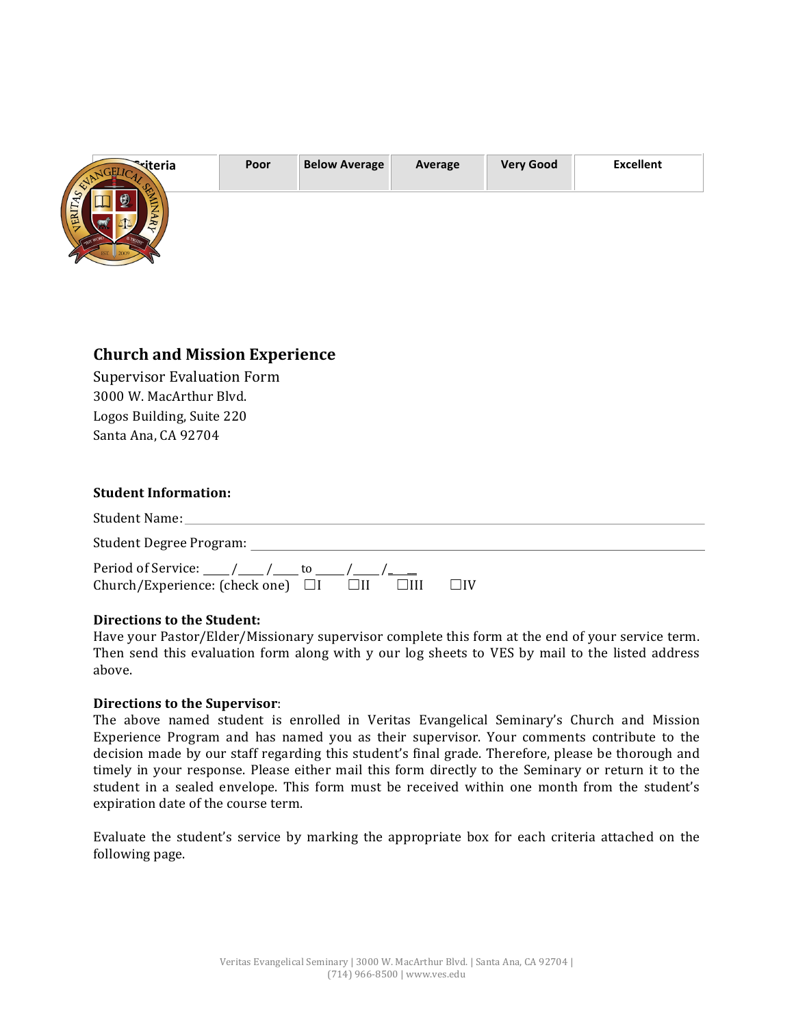| <b>i</b> teria                                                                       | Poor | <b>Below Average</b> | Average | <b>Very Good</b> | <b>Excellent</b> |
|--------------------------------------------------------------------------------------|------|----------------------|---------|------------------|------------------|
| c<br>ఈ<br>⊖<br>RIT<br><b>Late</b><br>←<br>$\approx$<br>-<br>$\overline{\phantom{0}}$ |      |                      |         |                  |                  |

# **Church and Mission Experience**

Supervisor Evaluation Form 3000 W. MacArthur Blvd. Logos Building, Suite 220 Santa Ana, CA 92704

## **Student Information:**

| <b>Student Name:</b>                                        |      |
|-------------------------------------------------------------|------|
| Student Degree Program:                                     |      |
| Period of Service: / / to                                   |      |
| Church/Experience: (check one) $\Box I$<br>$\Box$<br>$\Box$ | – IV |

### **Directions to the Student:**

Have your Pastor/Elder/Missionary supervisor complete this form at the end of your service term. Then send this evaluation form along with y our log sheets to VES by mail to the listed address above. 

### **Directions to the Supervisor:**

The above named student is enrolled in Veritas Evangelical Seminary's Church and Mission Experience Program and has named you as their supervisor. Your comments contribute to the decision made by our staff regarding this student's final grade. Therefore, please be thorough and timely in your response. Please either mail this form directly to the Seminary or return it to the student in a sealed envelope. This form must be received within one month from the student's expiration date of the course term.

Evaluate the student's service by marking the appropriate box for each criteria attached on the following page.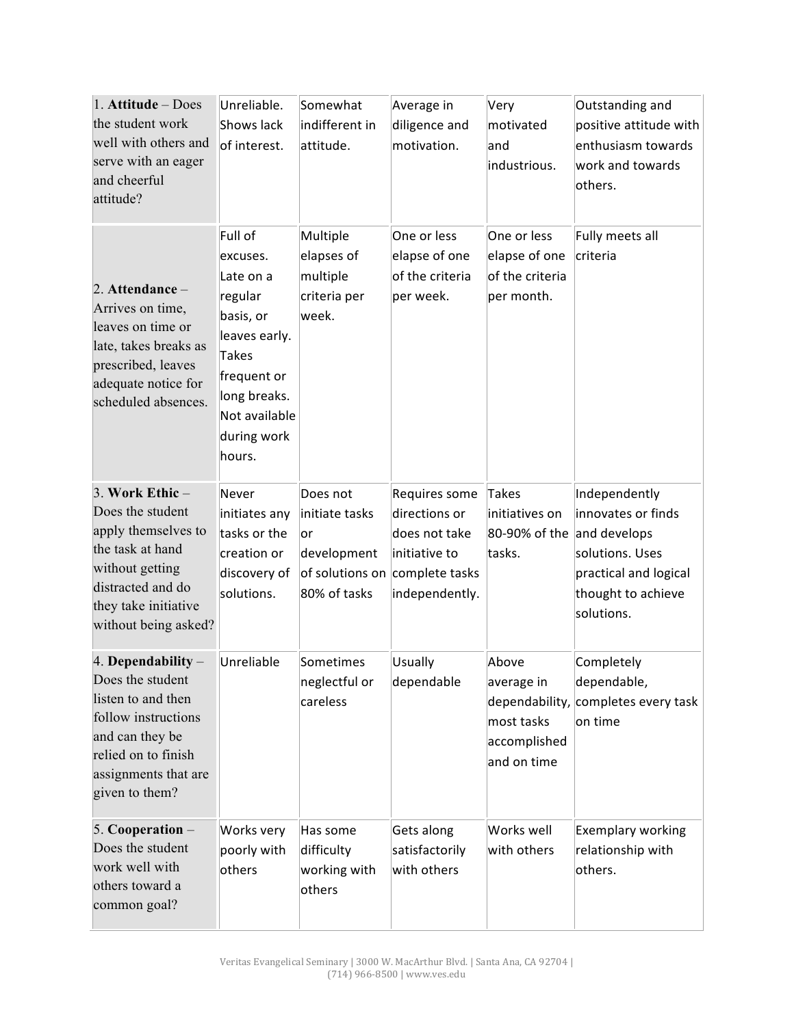| 1. Attitude - Does<br>the student work<br>well with others and<br>serve with an eager<br>and cheerful<br>attitude?                                                      | Unreliable.<br>Shows lack<br>of interest.                                                                                                                          | Somewhat<br>indifferent in<br>attitude.                                            | Average in<br>diligence and<br>motivation.                                                           | Very<br>motivated<br>and<br>industrious.                               | Outstanding and<br>positive attitude with<br>enthusiasm towards<br>work and towards<br>others.                      |
|-------------------------------------------------------------------------------------------------------------------------------------------------------------------------|--------------------------------------------------------------------------------------------------------------------------------------------------------------------|------------------------------------------------------------------------------------|------------------------------------------------------------------------------------------------------|------------------------------------------------------------------------|---------------------------------------------------------------------------------------------------------------------|
| 2. Attendance -<br>Arrives on time,<br>leaves on time or<br>late, takes breaks as<br>prescribed, leaves<br>adequate notice for<br>scheduled absences.                   | Full of<br>excuses.<br>Late on a<br>regular<br>basis, or<br>leaves early.<br><b>Takes</b><br>frequent or<br>long breaks.<br>Not available<br>during work<br>hours. | Multiple<br>elapses of<br>multiple<br>criteria per<br>week.                        | One or less<br>elapse of one<br>of the criteria<br>per week.                                         | One or less<br>elapse of one<br>of the criteria<br>per month.          | Fully meets all<br>criteria                                                                                         |
| 3. Work Ethic-<br>Does the student<br>apply themselves to<br>the task at hand<br>without getting<br>distracted and do<br>they take initiative<br>without being asked?   | Never<br>initiates any<br>tasks or the<br>creation or<br>discovery of<br>solutions.                                                                                | Does not<br>initiate tasks<br>or<br>development<br>of solutions on<br>80% of tasks | Requires some<br>directions or<br>does not take<br>initiative to<br>complete tasks<br>independently. | <b>Takes</b><br>initiatives on<br>80-90% of the and develops<br>tasks. | Independently<br>innovates or finds<br>solutions. Uses<br>practical and logical<br>thought to achieve<br>solutions. |
| 4. Dependability -<br>Does the student<br>listen to and then<br>follow instructions<br>and can they be<br>relied on to finish<br>assignments that are<br>given to them? | Unreliable                                                                                                                                                         | Sometimes<br>neglectful or<br>careless                                             | Usually<br>dependable                                                                                | Above<br>average in<br>most tasks<br>accomplished<br>and on time       | Completely<br>dependable,<br>dependability, completes every task<br>on time                                         |
| 5. Cooperation -<br>Does the student<br>work well with<br>others toward a<br>common goal?                                                                               | Works very<br>poorly with<br>others                                                                                                                                | Has some<br>difficulty<br>working with<br>others                                   | Gets along<br>satisfactorily<br>with others                                                          | Works well<br>with others                                              | <b>Exemplary working</b><br>relationship with<br>others.                                                            |